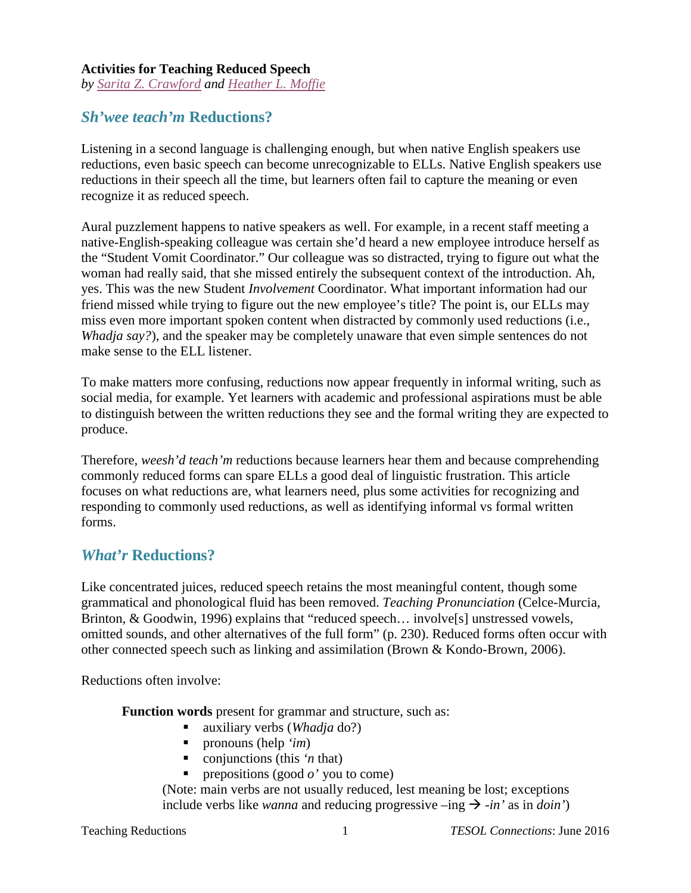#### **Activities for Teaching Reduced Speech**

*by [Sarita Z. Crawford](mailto:Sarita.Crawford@colostate.edu) and [Heather L. Moffie](mailto:Heather.Moffie@colostate.edu)*

## *Sh'wee teach'm* **Reductions?**

Listening in a second language is challenging enough, but when native English speakers use reductions, even basic speech can become unrecognizable to ELLs. Native English speakers use reductions in their speech all the time, but learners often fail to capture the meaning or even recognize it as reduced speech.

Aural puzzlement happens to native speakers as well. For example, in a recent staff meeting a native-English-speaking colleague was certain she'd heard a new employee introduce herself as the "Student Vomit Coordinator." Our colleague was so distracted, trying to figure out what the woman had really said, that she missed entirely the subsequent context of the introduction. Ah, yes. This was the new Student *Involvement* Coordinator. What important information had our friend missed while trying to figure out the new employee's title? The point is, our ELLs may miss even more important spoken content when distracted by commonly used reductions (i.e., *Whadja say?*), and the speaker may be completely unaware that even simple sentences do not make sense to the ELL listener.

To make matters more confusing, reductions now appear frequently in informal writing, such as social media, for example. Yet learners with academic and professional aspirations must be able to distinguish between the written reductions they see and the formal writing they are expected to produce.

Therefore, *weesh'd teach'm* reductions because learners hear them and because comprehending commonly reduced forms can spare ELLs a good deal of linguistic frustration. This article focuses on what reductions are, what learners need, plus some activities for recognizing and responding to commonly used reductions, as well as identifying informal vs formal written forms.

### *What'r* **Reductions?**

Like concentrated juices, reduced speech retains the most meaningful content, though some grammatical and phonological fluid has been removed. *Teaching Pronunciation* (Celce-Murcia, Brinton, & Goodwin, 1996) explains that "reduced speech... involve<sup>[5]</sup> unstressed vowels, omitted sounds, and other alternatives of the full form" (p. 230). Reduced forms often occur with other connected speech such as linking and assimilation (Brown & Kondo-Brown, 2006).

Reductions often involve:

**Function words** present for grammar and structure, such as:

- auxiliary verbs (*Whadja* do?)
- pronouns (help *'im*)
- conjunctions (this '*n* that)
- **prepositions (good**  $o'$  **you to come)**

(Note: main verbs are not usually reduced, lest meaning be lost; exceptions include verbs like *wanna* and reducing progressive  $-\text{ing } \rightarrow -\text{in'}$  as in *doin'*)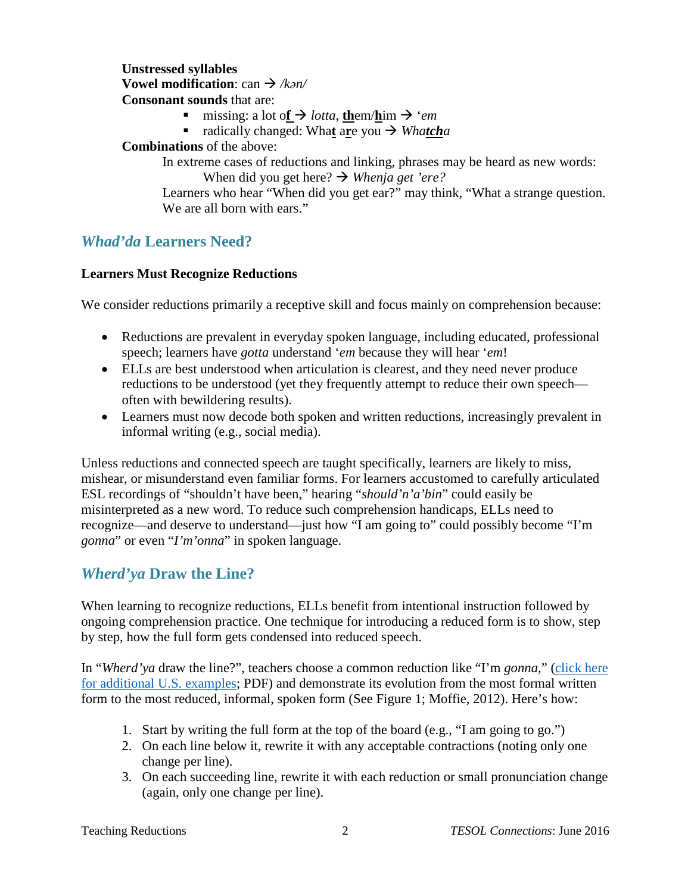#### **Unstressed syllables Vowel modification**: can */kən/* **Consonant sounds** that are:

- missing: a lot of  $\rightarrow$  *lotta*, **them/him**  $\rightarrow$  *'em*
- radically changed: What are you  $\rightarrow$  *Whatcha*

#### **Combinations** of the above:

In extreme cases of reductions and linking, phrases may be heard as new words: When did you get here?  $\rightarrow$  *Whenja get 'ere?* 

Learners who hear "When did you get ear?" may think, "What a strange question. We are all born with ears."

## *Whad'da* **Learners Need?**

#### **Learners Must Recognize Reductions**

We consider reductions primarily a receptive skill and focus mainly on comprehension because:

- Reductions are prevalent in everyday spoken language, including educated, professional speech; learners have *gotta* understand '*em* because they will hear '*em*!
- ELLs are best understood when articulation is clearest, and they need never produce reductions to be understood (yet they frequently attempt to reduce their own speech often with bewildering results).
- Learners must now decode both spoken and written reductions, increasingly prevalent in informal writing (e.g., social media).

Unless reductions and connected speech are taught specifically, learners are likely to miss, mishear, or misunderstand even familiar forms. For learners accustomed to carefully articulated ESL recordings of "shouldn't have been," hearing "*should'n'a'bin*" could easily be misinterpreted as a new word. To reduce such comprehension handicaps, ELLs need to recognize—and deserve to understand—just how "I am going to" could possibly become "I'm *gonna*" or even "*I'm'onna*" in spoken language.

## *Wherd'ya* **Draw the Line?**

When learning to recognize reductions, ELLs benefit from intentional instruction followed by ongoing comprehension practice. One technique for introducing a reduced form is to show, step by step, how the full form gets condensed into reduced speech.

In "*Wherd'ya* draw the line?", teachers choose a common reduction like "I'm *gonna,*" [\(click here](http://www.avspeechtherapy.com/wp-content/uploads/2013/06/reductionsorig.pdf)  [for additional U.S. examples;](http://www.avspeechtherapy.com/wp-content/uploads/2013/06/reductionsorig.pdf) PDF) and demonstrate its evolution from the most formal written form to the most reduced, informal, spoken form (See Figure 1; Moffie, 2012). Here's how:

- 1. Start by writing the full form at the top of the board (e.g., "I am going to go.")
- 2. On each line below it, rewrite it with any acceptable contractions (noting only one change per line).
- 3. On each succeeding line, rewrite it with each reduction or small pronunciation change (again, only one change per line).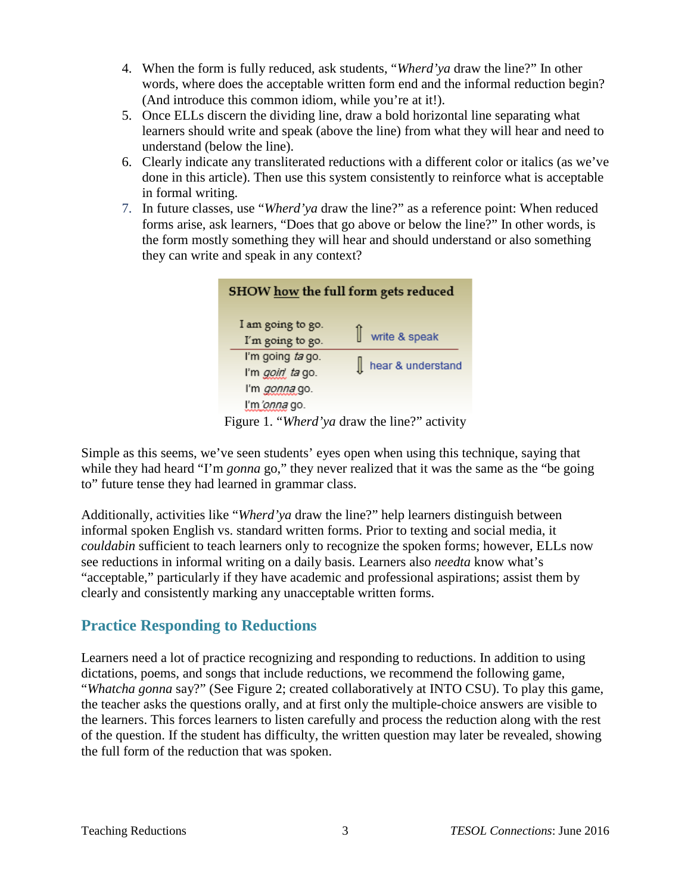- 4. When the form is fully reduced, ask students, "*Wherd'ya* draw the line?" In other words, where does the acceptable written form end and the informal reduction begin? (And introduce this common idiom, while you're at it!).
- 5. Once ELLs discern the dividing line, draw a bold horizontal line separating what learners should write and speak (above the line) from what they will hear and need to understand (below the line).
- 6. Clearly indicate any transliterated reductions with a different color or italics (as we've done in this article). Then use this system consistently to reinforce what is acceptable in formal writing.
- 7. In future classes, use "*Wherd'ya* draw the line?" as a reference point: When reduced forms arise, ask learners, "Does that go above or below the line?" In other words, is the form mostly something they will hear and should understand or also something they can write and speak in any context?

| SHOW how the full form gets reduced |                         |  |                   |
|-------------------------------------|-------------------------|--|-------------------|
|                                     | I am going to go.       |  |                   |
|                                     | I'm going to go.        |  | write & speak     |
|                                     | I'm going ta go.        |  |                   |
|                                     | I'm <i>goiri</i> ta go. |  | hear & understand |
|                                     | I'm <i>gonna</i> go.    |  |                   |
|                                     | I'm 'onna go.           |  |                   |
|                                     |                         |  |                   |

Figure 1. "*Wherd'ya* draw the line?" activity

Simple as this seems, we've seen students' eyes open when using this technique, saying that while they had heard "I'm *gonna* go," they never realized that it was the same as the "be going to" future tense they had learned in grammar class.

Additionally, activities like "*Wherd'ya* draw the line?" help learners distinguish between informal spoken English vs. standard written forms. Prior to texting and social media, it *couldabin* sufficient to teach learners only to recognize the spoken forms; however, ELLs now see reductions in informal writing on a daily basis. Learners also *needta* know what's "acceptable," particularly if they have academic and professional aspirations; assist them by clearly and consistently marking any unacceptable written forms.

# **Practice Responding to Reductions**

Learners need a lot of practice recognizing and responding to reductions. In addition to using dictations, poems, and songs that include reductions, we recommend the following game, "*Whatcha gonna* say?" (See Figure 2; created collaboratively at INTO CSU). To play this game, the teacher asks the questions orally, and at first only the multiple-choice answers are visible to the learners. This forces learners to listen carefully and process the reduction along with the rest of the question. If the student has difficulty, the written question may later be revealed, showing the full form of the reduction that was spoken.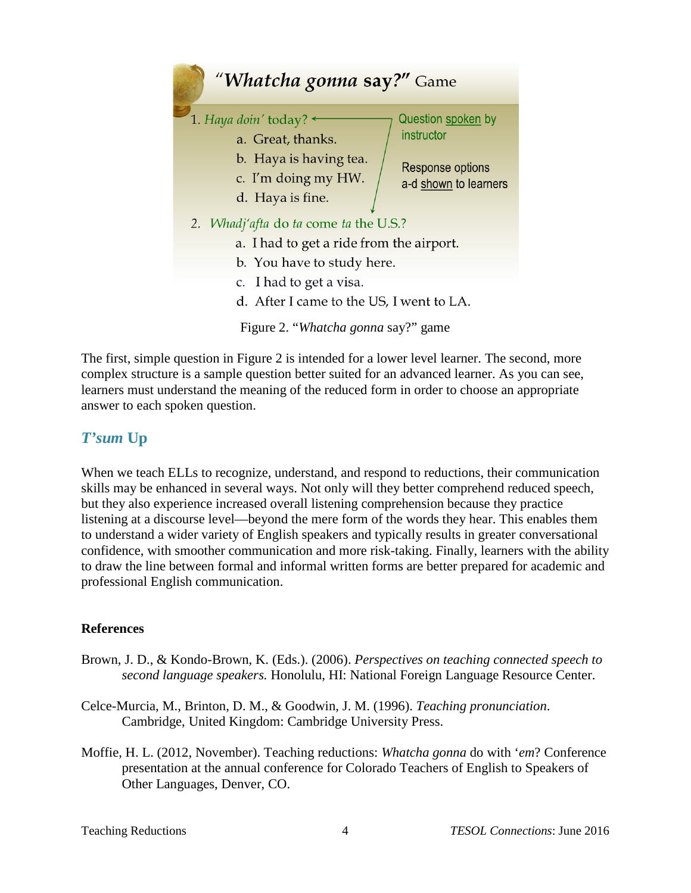

The first, simple question in Figure 2 is intended for a lower level learner. The second, more complex structure is a sample question better suited for an advanced learner. As you can see, learners must understand the meaning of the reduced form in order to choose an appropriate answer to each spoken question.

## *T'sum* **Up**

When we teach ELLs to recognize, understand, and respond to reductions, their communication skills may be enhanced in several ways. Not only will they better comprehend reduced speech, but they also experience increased overall listening comprehension because they practice listening at a discourse level—beyond the mere form of the words they hear. This enables them to understand a wider variety of English speakers and typically results in greater conversational confidence, with smoother communication and more risk-taking. Finally, learners with the ability to draw the line between formal and informal written forms are better prepared for academic and professional English communication.

### **References**

- Brown, J. D., & Kondo-Brown, K. (Eds.). (2006). *Perspectives on teaching connected speech to second language speakers.* Honolulu, HI: National Foreign Language Resource Center.
- Celce-Murcia, M., Brinton, D. M., & Goodwin, J. M. (1996). *Teaching pronunciation*. Cambridge, United Kingdom: Cambridge University Press.
- Moffie, H. L. (2012, November). Teaching reductions: *Whatcha gonna* do with '*em*? Conference presentation at the annual conference for Colorado Teachers of English to Speakers of Other Languages, Denver, CO.